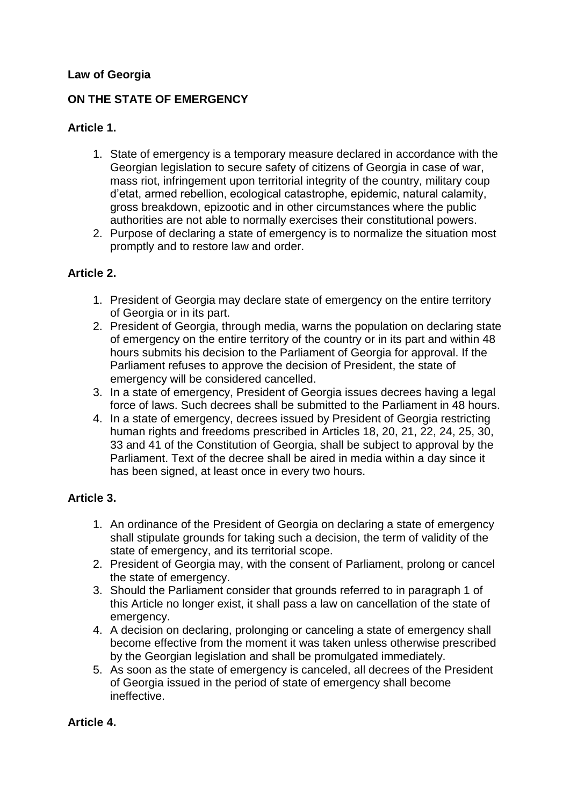### **Law of Georgia**

### **ON THE STATE OF EMERGENCY**

### **Article 1.**

- 1. State of emergency is a temporary measure declared in accordance with the Georgian legislation to secure safety of citizens of Georgia in case of war, mass riot, infringement upon territorial integrity of the country, military coup d'etat, armed rebellion, ecological catastrophe, epidemic, natural calamity, gross breakdown, epizootic and in other circumstances where the public authorities are not able to normally exercises their constitutional powers.
- 2. Purpose of declaring a state of emergency is to normalize the situation most promptly and to restore law and order.

### **Article 2.**

- 1. President of Georgia may declare state of emergency on the entire territory of Georgia or in its part.
- 2. President of Georgia, through media, warns the population on declaring state of emergency on the entire territory of the country or in its part and within 48 hours submits his decision to the Parliament of Georgia for approval. If the Parliament refuses to approve the decision of President, the state of emergency will be considered cancelled.
- 3. In a state of emergency, President of Georgia issues decrees having a legal force of laws. Such decrees shall be submitted to the Parliament in 48 hours.
- 4. In a state of emergency, decrees issued by President of Georgia restricting human rights and freedoms prescribed in Articles 18, 20, 21, 22, 24, 25, 30, 33 and 41 of the Constitution of Georgia, shall be subject to approval by the Parliament. Text of the decree shall be aired in media within a day since it has been signed, at least once in every two hours.

## **Article 3.**

- 1. An ordinance of the President of Georgia on declaring a state of emergency shall stipulate grounds for taking such a decision, the term of validity of the state of emergency, and its territorial scope.
- 2. President of Georgia may, with the consent of Parliament, prolong or cancel the state of emergency.
- 3. Should the Parliament consider that grounds referred to in paragraph 1 of this Article no longer exist, it shall pass a law on cancellation of the state of emergency.
- 4. A decision on declaring, prolonging or canceling a state of emergency shall become effective from the moment it was taken unless otherwise prescribed by the Georgian legislation and shall be promulgated immediately.
- 5. As soon as the state of emergency is canceled, all decrees of the President of Georgia issued in the period of state of emergency shall become ineffective.

## **Article 4.**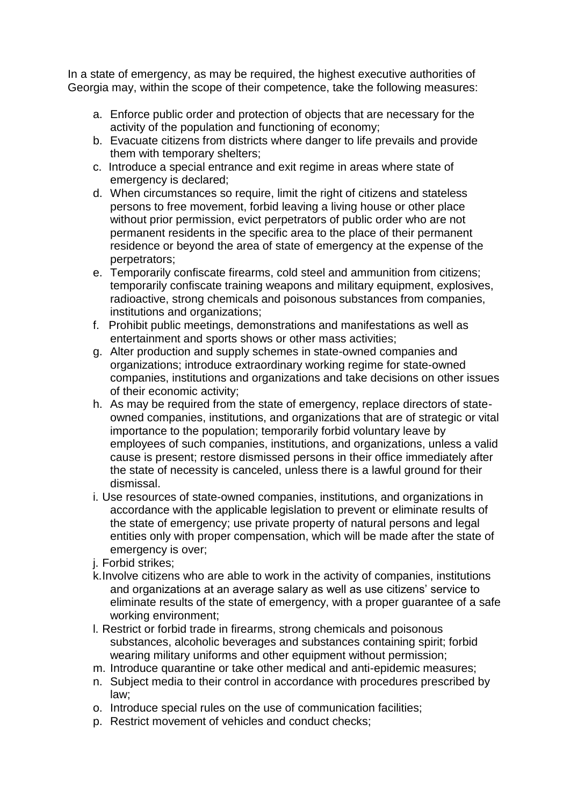In a state of emergency, as may be required, the highest executive authorities of Georgia may, within the scope of their competence, take the following measures:

- a. Enforce public order and protection of objects that are necessary for the activity of the population and functioning of economy;
- b. Evacuate citizens from districts where danger to life prevails and provide them with temporary shelters;
- c. Introduce a special entrance and exit regime in areas where state of emergency is declared;
- d. When circumstances so require, limit the right of citizens and stateless persons to free movement, forbid leaving a living house or other place without prior permission, evict perpetrators of public order who are not permanent residents in the specific area to the place of their permanent residence or beyond the area of state of emergency at the expense of the perpetrators;
- e. Temporarily confiscate firearms, cold steel and ammunition from citizens; temporarily confiscate training weapons and military equipment, explosives, radioactive, strong chemicals and poisonous substances from companies, institutions and organizations;
- f. Prohibit public meetings, demonstrations and manifestations as well as entertainment and sports shows or other mass activities;
- g. Alter production and supply schemes in state-owned companies and organizations; introduce extraordinary working regime for state-owned companies, institutions and organizations and take decisions on other issues of their economic activity;
- h. As may be required from the state of emergency, replace directors of stateowned companies, institutions, and organizations that are of strategic or vital importance to the population; temporarily forbid voluntary leave by employees of such companies, institutions, and organizations, unless a valid cause is present; restore dismissed persons in their office immediately after the state of necessity is canceled, unless there is a lawful ground for their dismissal.
- i. Use resources of state-owned companies, institutions, and organizations in accordance with the applicable legislation to prevent or eliminate results of the state of emergency; use private property of natural persons and legal entities only with proper compensation, which will be made after the state of emergency is over;
- j. Forbid strikes;
- k.Involve citizens who are able to work in the activity of companies, institutions and organizations at an average salary as well as use citizens' service to eliminate results of the state of emergency, with a proper guarantee of a safe working environment;
- l. Restrict or forbid trade in firearms, strong chemicals and poisonous substances, alcoholic beverages and substances containing spirit; forbid wearing military uniforms and other equipment without permission;
- m. Introduce quarantine or take other medical and anti-epidemic measures;
- n. Subject media to their control in accordance with procedures prescribed by law;
- o. Introduce special rules on the use of communication facilities;
- p. Restrict movement of vehicles and conduct checks;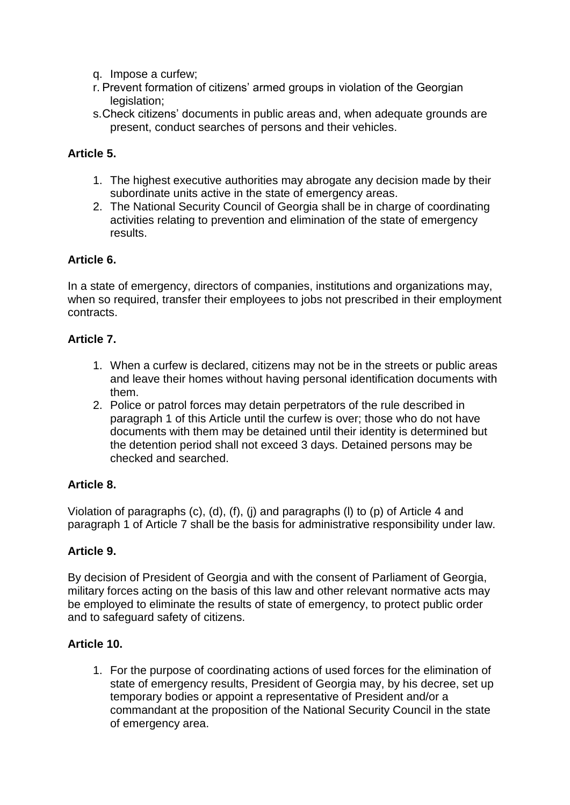- q. Impose a curfew;
- r. Prevent formation of citizens' armed groups in violation of the Georgian legislation:
- s.Check citizens' documents in public areas and, when adequate grounds are present, conduct searches of persons and their vehicles.

### **Article 5.**

- 1. The highest executive authorities may abrogate any decision made by their subordinate units active in the state of emergency areas.
- 2. The National Security Council of Georgia shall be in charge of coordinating activities relating to prevention and elimination of the state of emergency results.

### **Article 6.**

In a state of emergency, directors of companies, institutions and organizations may, when so required, transfer their employees to jobs not prescribed in their employment contracts.

#### **Article 7.**

- 1. When a curfew is declared, citizens may not be in the streets or public areas and leave their homes without having personal identification documents with them.
- 2. Police or patrol forces may detain perpetrators of the rule described in paragraph 1 of this Article until the curfew is over; those who do not have documents with them may be detained until their identity is determined but the detention period shall not exceed 3 days. Detained persons may be checked and searched.

## **Article 8.**

Violation of paragraphs (c), (d), (f), (j) and paragraphs (l) to (p) of Article 4 and paragraph 1 of Article 7 shall be the basis for administrative responsibility under law.

#### **Article 9.**

By decision of President of Georgia and with the consent of Parliament of Georgia, military forces acting on the basis of this law and other relevant normative acts may be employed to eliminate the results of state of emergency, to protect public order and to safeguard safety of citizens.

#### **Article 10.**

1. For the purpose of coordinating actions of used forces for the elimination of state of emergency results, President of Georgia may, by his decree, set up temporary bodies or appoint a representative of President and/or a commandant at the proposition of the National Security Council in the state of emergency area.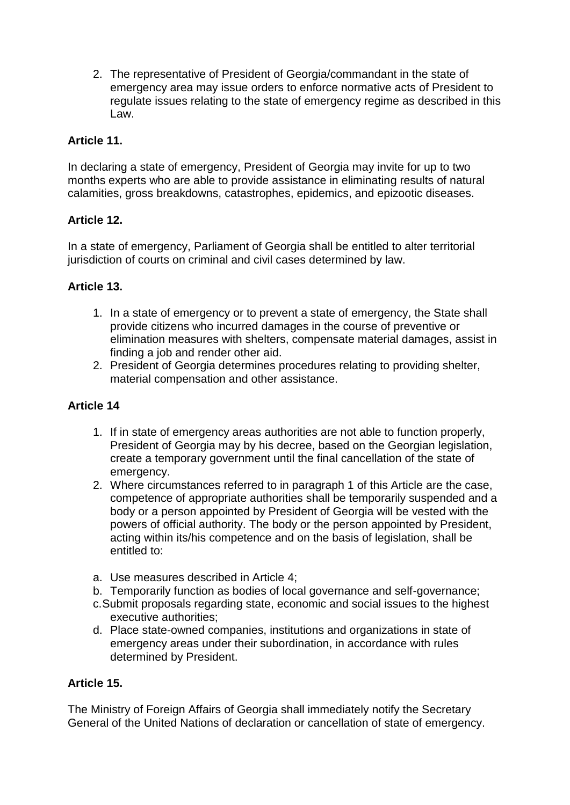2. The representative of President of Georgia/commandant in the state of emergency area may issue orders to enforce normative acts of President to regulate issues relating to the state of emergency regime as described in this Law.

## **Article 11.**

In declaring a state of emergency, President of Georgia may invite for up to two months experts who are able to provide assistance in eliminating results of natural calamities, gross breakdowns, catastrophes, epidemics, and epizootic diseases.

# **Article 12.**

In a state of emergency, Parliament of Georgia shall be entitled to alter territorial jurisdiction of courts on criminal and civil cases determined by law.

## **Article 13.**

- 1. In a state of emergency or to prevent a state of emergency, the State shall provide citizens who incurred damages in the course of preventive or elimination measures with shelters, compensate material damages, assist in finding a job and render other aid.
- 2. President of Georgia determines procedures relating to providing shelter, material compensation and other assistance.

# **Article 14**

- 1. If in state of emergency areas authorities are not able to function properly, President of Georgia may by his decree, based on the Georgian legislation, create a temporary government until the final cancellation of the state of emergency.
- 2. Where circumstances referred to in paragraph 1 of this Article are the case, competence of appropriate authorities shall be temporarily suspended and a body or a person appointed by President of Georgia will be vested with the powers of official authority. The body or the person appointed by President, acting within its/his competence and on the basis of legislation, shall be entitled to:
- a. Use measures described in Article 4;
- b. Temporarily function as bodies of local governance and self-governance;
- c.Submit proposals regarding state, economic and social issues to the highest executive authorities;
- d. Place state-owned companies, institutions and organizations in state of emergency areas under their subordination, in accordance with rules determined by President.

## **Article 15.**

The Ministry of Foreign Affairs of Georgia shall immediately notify the Secretary General of the United Nations of declaration or cancellation of state of emergency.